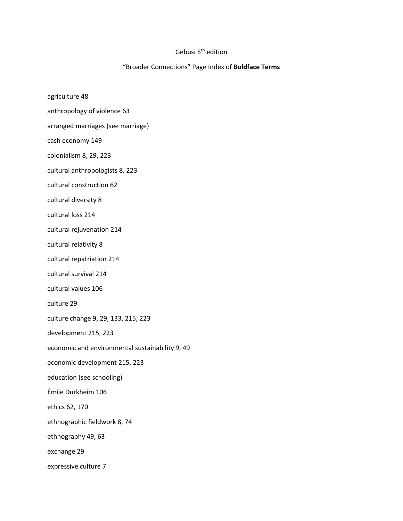## Gebusi 5<sup>th</sup> edition

## "Broader Connections" Page Index of **Boldface Terms**

- agriculture 48
- anthropology of violence 63
- arranged marriages (see marriage)
- cash economy 149
- colonialism 8, 29, 223
- cultural anthropologists 8, 223
- cultural construction 62
- cultural diversity 8
- cultural loss 214
- cultural rejuvenation 214
- cultural relativity 8
- cultural repatriation 214
- cultural survival 214
- cultural values 106
- culture 29
- culture change 9, 29, 133, 215, 223
- development 215, 223
- economic and environmental sustainability 9, 49
- economic development 215, 223
- education (see schooling)
- Émile Durkheim 106
- ethics 62, 170
- ethnographic fieldwork 8, 74
- ethnography 49, 63
- exchange 29
- expressive culture 7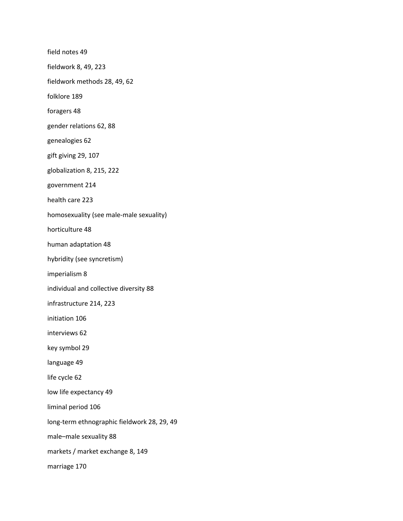field notes 49 fieldwork 8, 49, 223 fieldwork methods 28, 49, 62 folklore 189 foragers 48 gender relations 62, 88 genealogies 62 gift giving 29, 107 globalization 8, 215, 222 government 214 health care 223 homosexuality (see male-male sexuality) horticulture 48 human adaptation 48 hybridity (see syncretism) imperialism 8 individual and collective diversity 88 infrastructure 214, 223 initiation 106 interviews 62 key symbol 29 language 49 life cycle 62 low life expectancy 49 liminal period 106 long-term ethnographic fieldwork 28, 29, 49 male–male sexuality 88 markets / market exchange 8, 149 marriage 170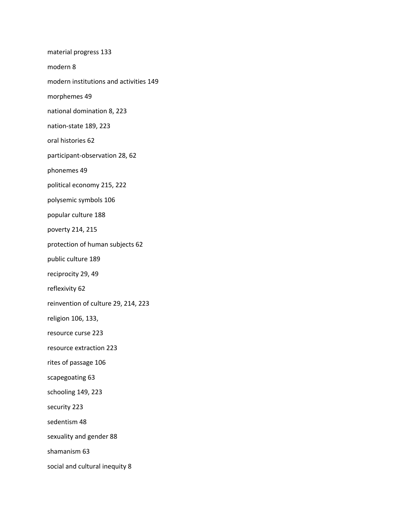material progress 133 modern 8 modern institutions and activities 149 morphemes 49 national domination 8, 223 nation-state 189, 223 oral histories 62 participant-observation 28, 62 phonemes 49 political economy 215, 222 polysemic symbols 106 popular culture 188 poverty 214, 215 protection of human subjects 62 public culture 189 reciprocity 29, 49 reflexivity 62 reinvention of culture 29, 214, 223 religion 106, 133, resource curse 223 resource extraction 223 rites of passage 106 scapegoating 63 schooling 149, 223 security 223 sedentism 48 sexuality and gender 88 shamanism 63 social and cultural inequity 8